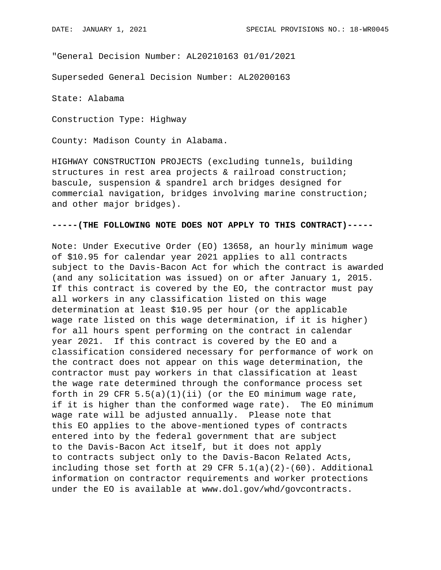"General Decision Number: AL20210163 01/01/2021

Superseded General Decision Number: AL20200163

State: Alabama

Construction Type: Highway

County: Madison County in Alabama.

HIGHWAY CONSTRUCTION PROJECTS (excluding tunnels, building structures in rest area projects & railroad construction; bascule, suspension & spandrel arch bridges designed for commercial navigation, bridges involving marine construction; and other major bridges).

## **-----(THE FOLLOWING NOTE DOES NOT APPLY TO THIS CONTRACT)-----**

Note: Under Executive Order (EO) 13658, an hourly minimum wage of \$10.95 for calendar year 2021 applies to all contracts subject to the Davis-Bacon Act for which the contract is awarded (and any solicitation was issued) on or after January 1, 2015. If this contract is covered by the EO, the contractor must pay all workers in any classification listed on this wage determination at least \$10.95 per hour (or the applicable wage rate listed on this wage determination, if it is higher) for all hours spent performing on the contract in calendar year 2021. If this contract is covered by the EO and a classification considered necessary for performance of work on the contract does not appear on this wage determination, the contractor must pay workers in that classification at least the wage rate determined through the conformance process set forth in 29 CFR  $5.5(a)(1)(ii)$  (or the EO minimum wage rate, if it is higher than the conformed wage rate). The EO minimum wage rate will be adjusted annually. Please note that this EO applies to the above-mentioned types of contracts entered into by the federal government that are subject to the Davis-Bacon Act itself, but it does not apply to contracts subject only to the Davis-Bacon Related Acts, including those set forth at 29 CFR  $5.1(a)(2)-(60)$ . Additional information on contractor requirements and worker protections under the EO is available at www.dol.gov/whd/govcontracts.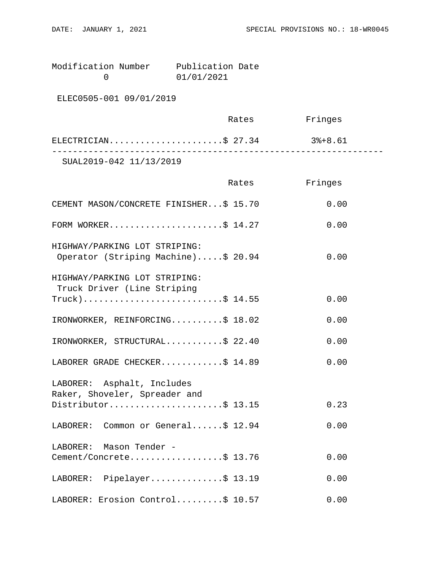Modification Number Publication Date<br>0 01/01/2021 0 01/01/2021

ELEC0505-001 09/01/2019

|                         | Rates | Fringes |  |
|-------------------------|-------|---------|--|
| ELECTRICIAN\$ 27.34     |       | 3%+8.61 |  |
| SUAL2019-042 11/13/2019 |       |         |  |

|                                                                      | Rates | Fringes |
|----------------------------------------------------------------------|-------|---------|
| CEMENT MASON/CONCRETE FINISHER\$ 15.70                               |       | 0.00    |
| FORM WORKER\$ $14.27$                                                |       | 0.00    |
| HIGHWAY/PARKING LOT STRIPING:<br>Operator (Striping Machine)\$ 20.94 |       | 0.00    |
| HIGHWAY/PARKING LOT STRIPING:<br>Truck Driver (Line Striping         |       |         |
| $True k)$ \$ 14.55                                                   |       | 0.00    |
| IRONWORKER, REINFORCING\$ 18.02                                      |       | 0.00    |
| IRONWORKER, STRUCTURAL\$ 22.40                                       |       | 0.00    |
| LABORER GRADE CHECKER\$ 14.89                                        |       | 0.00    |
| LABORER: Asphalt, Includes<br>Raker, Shoveler, Spreader and          |       |         |
| Distributor\$ 13.15                                                  |       | 0.23    |
| LABORER: Common or General\$ 12.94                                   |       | 0.00    |
| LABORER: Mason Tender -                                              |       |         |
| Cement/Concrete\$ 13.76                                              |       | 0.00    |
| LABORER: Pipelayer\$ 13.19                                           |       | 0.00    |
| LABORER: Erosion Control\$ 10.57                                     |       | 0.00    |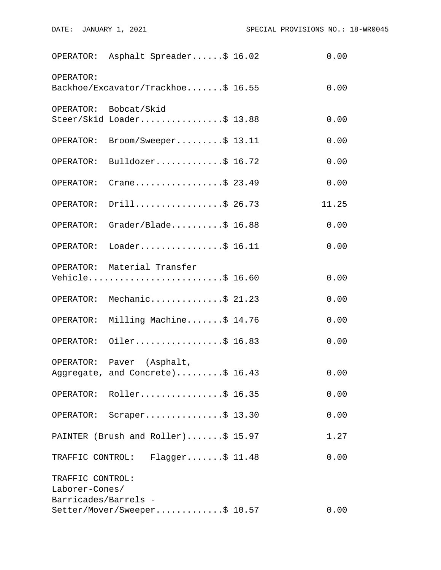|                                    | OPERATOR: Asphalt Spreader\$ 16.02                            | 0.00  |
|------------------------------------|---------------------------------------------------------------|-------|
| OPERATOR:                          | Backhoe/Excavator/Trackhoe\$ 16.55                            | 0.00  |
|                                    | OPERATOR: Bobcat/Skid<br>Steer/Skid Loader\$ 13.88            | 0.00  |
| OPERATOR:                          | $\texttt{Broom}/\texttt{Sweeper} \dots \dots \dots \$ 13.11   | 0.00  |
|                                    | OPERATOR: Bulldozer\$ 16.72                                   | 0.00  |
| OPERATOR:                          | Crane\$ 23.49                                                 | 0.00  |
| OPERATOR:                          | Drill\$ 26.73                                                 | 11.25 |
| OPERATOR:                          | Grader/Blade $$16.88$                                         | 0.00  |
|                                    | OPERATOR: Loader\$ 16.11                                      | 0.00  |
|                                    | OPERATOR: Material Transfer<br>Vehicle\$ 16.60                | 0.00  |
|                                    | OPERATOR: Mechanic\$ 21.23                                    | 0.00  |
|                                    | OPERATOR: Milling Machine\$ 14.76                             | 0.00  |
|                                    | OPERATOR: Oiler\$ 16.83                                       | 0.00  |
|                                    | OPERATOR: Paver (Asphalt,<br>Aggregate, and Concrete)\$ 16.43 | 0.00  |
|                                    | OPERATOR: Roller\$ 16.35                                      | 0.00  |
|                                    | OPERATOR: Scraper\$ 13.30                                     | 0.00  |
|                                    | PAINTER (Brush and Roller)\$ 15.97                            | 1.27  |
|                                    | TRAFFIC CONTROL: Flagger\$ 11.48                              | 0.00  |
| TRAFFIC CONTROL:<br>Laborer-Cones/ |                                                               |       |
| Barricades/Barrels -               | Setter/Mover/Sweeper\$ 10.57                                  | 0.00  |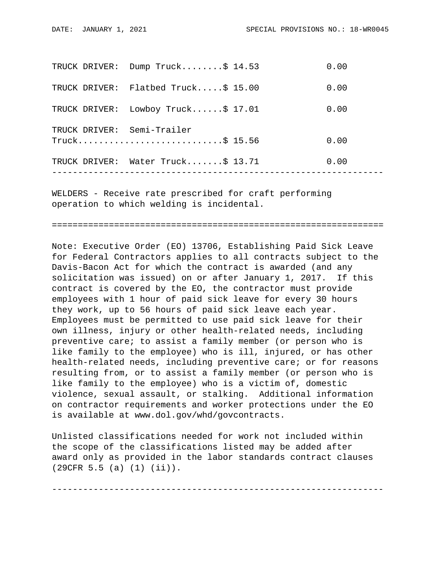|               | TRUCK DRIVER: Dump Truck\$ 14.53               | 0.00 |
|---------------|------------------------------------------------|------|
| TRUCK DRIVER: | Flatbed Truck $$15.00$                         | 0.00 |
| TRUCK DRIVER: | Lowboy Truck $$17.01$                          | 0.00 |
|               | TRUCK DRIVER: Semi-Trailer<br>$True k$ 5 15.56 | 0.00 |
| TRUCK DRIVER: | Water $Truck$ $$ 13.71$                        | 0.00 |
|               |                                                |      |

WELDERS - Receive rate prescribed for craft performing operation to which welding is incidental.

================================================================

Note: Executive Order (EO) 13706, Establishing Paid Sick Leave for Federal Contractors applies to all contracts subject to the Davis-Bacon Act for which the contract is awarded (and any solicitation was issued) on or after January 1, 2017. If this contract is covered by the EO, the contractor must provide employees with 1 hour of paid sick leave for every 30 hours they work, up to 56 hours of paid sick leave each year. Employees must be permitted to use paid sick leave for their own illness, injury or other health-related needs, including preventive care; to assist a family member (or person who is like family to the employee) who is ill, injured, or has other health-related needs, including preventive care; or for reasons resulting from, or to assist a family member (or person who is like family to the employee) who is a victim of, domestic violence, sexual assault, or stalking. Additional information on contractor requirements and worker protections under the EO is available at www.dol.gov/whd/govcontracts.

Unlisted classifications needed for work not included within the scope of the classifications listed may be added after award only as provided in the labor standards contract clauses (29CFR 5.5 (a) (1) (ii)).

----------------------------------------------------------------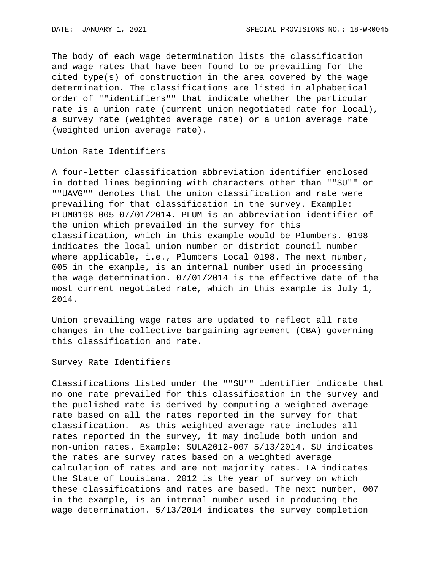The body of each wage determination lists the classification and wage rates that have been found to be prevailing for the cited type(s) of construction in the area covered by the wage determination. The classifications are listed in alphabetical order of ""identifiers"" that indicate whether the particular rate is a union rate (current union negotiated rate for local), a survey rate (weighted average rate) or a union average rate (weighted union average rate).

Union Rate Identifiers

A four-letter classification abbreviation identifier enclosed in dotted lines beginning with characters other than ""SU"" or ""UAVG"" denotes that the union classification and rate were prevailing for that classification in the survey. Example: PLUM0198-005 07/01/2014. PLUM is an abbreviation identifier of the union which prevailed in the survey for this classification, which in this example would be Plumbers. 0198 indicates the local union number or district council number where applicable, i.e., Plumbers Local 0198. The next number, 005 in the example, is an internal number used in processing the wage determination. 07/01/2014 is the effective date of the most current negotiated rate, which in this example is July 1, 2014.

Union prevailing wage rates are updated to reflect all rate changes in the collective bargaining agreement (CBA) governing this classification and rate.

Survey Rate Identifiers

Classifications listed under the ""SU"" identifier indicate that no one rate prevailed for this classification in the survey and the published rate is derived by computing a weighted average rate based on all the rates reported in the survey for that classification. As this weighted average rate includes all rates reported in the survey, it may include both union and non-union rates. Example: SULA2012-007 5/13/2014. SU indicates the rates are survey rates based on a weighted average calculation of rates and are not majority rates. LA indicates the State of Louisiana. 2012 is the year of survey on which these classifications and rates are based. The next number, 007 in the example, is an internal number used in producing the wage determination. 5/13/2014 indicates the survey completion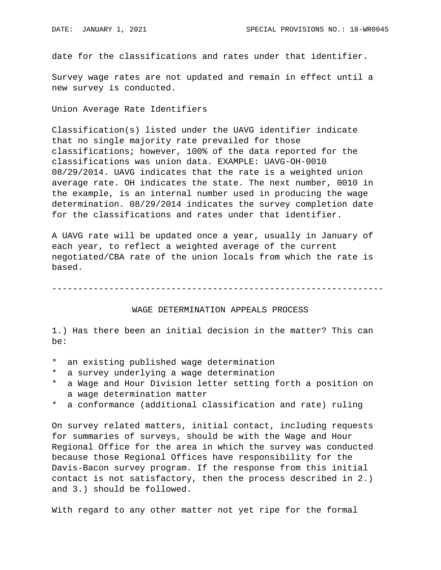date for the classifications and rates under that identifier.

Survey wage rates are not updated and remain in effect until a new survey is conducted.

Union Average Rate Identifiers

Classification(s) listed under the UAVG identifier indicate that no single majority rate prevailed for those classifications; however, 100% of the data reported for the classifications was union data. EXAMPLE: UAVG-OH-0010 08/29/2014. UAVG indicates that the rate is a weighted union average rate. OH indicates the state. The next number, 0010 in the example, is an internal number used in producing the wage determination. 08/29/2014 indicates the survey completion date for the classifications and rates under that identifier.

A UAVG rate will be updated once a year, usually in January of each year, to reflect a weighted average of the current negotiated/CBA rate of the union locals from which the rate is based.

----------------------------------------------------------------

## WAGE DETERMINATION APPEALS PROCESS

1.) Has there been an initial decision in the matter? This can be:

- \* an existing published wage determination
- \* a survey underlying a wage determination
- a Wage and Hour Division letter setting forth a position on a wage determination matter
- \* a conformance (additional classification and rate) ruling

On survey related matters, initial contact, including requests for summaries of surveys, should be with the Wage and Hour Regional Office for the area in which the survey was conducted because those Regional Offices have responsibility for the Davis-Bacon survey program. If the response from this initial contact is not satisfactory, then the process described in 2.) and 3.) should be followed.

With regard to any other matter not yet ripe for the formal